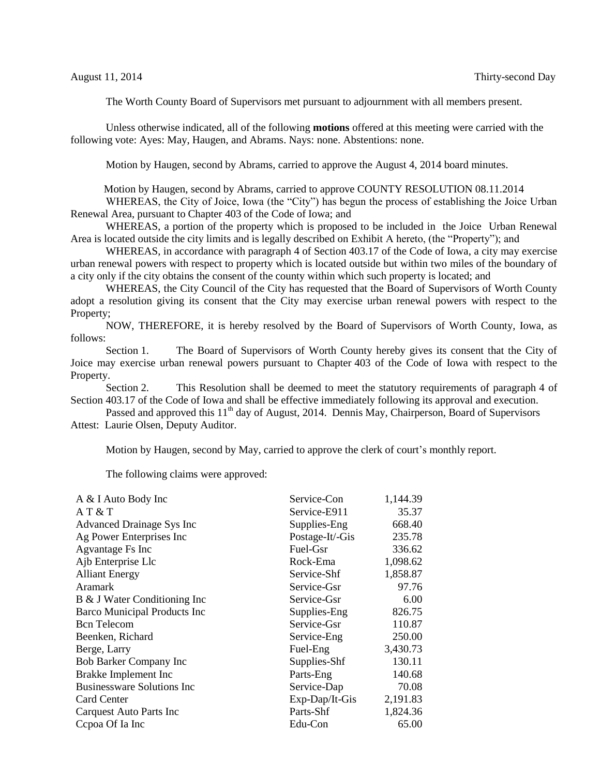The Worth County Board of Supervisors met pursuant to adjournment with all members present.

Unless otherwise indicated, all of the following **motions** offered at this meeting were carried with the following vote: Ayes: May, Haugen, and Abrams. Nays: none. Abstentions: none.

Motion by Haugen, second by Abrams, carried to approve the August 4, 2014 board minutes.

Motion by Haugen, second by Abrams, carried to approve COUNTY RESOLUTION 08.11.2014

WHEREAS, the City of Joice, Iowa (the "City") has begun the process of establishing the Joice Urban Renewal Area, pursuant to Chapter 403 of the Code of Iowa; and

WHEREAS, a portion of the property which is proposed to be included in the Joice Urban Renewal Area is located outside the city limits and is legally described on Exhibit A hereto, (the "Property"); and

WHEREAS, in accordance with paragraph 4 of Section 403.17 of the Code of Iowa, a city may exercise urban renewal powers with respect to property which is located outside but within two miles of the boundary of a city only if the city obtains the consent of the county within which such property is located; and

WHEREAS, the City Council of the City has requested that the Board of Supervisors of Worth County adopt a resolution giving its consent that the City may exercise urban renewal powers with respect to the Property;

NOW, THEREFORE, it is hereby resolved by the Board of Supervisors of Worth County, Iowa, as follows:

Section 1. The Board of Supervisors of Worth County hereby gives its consent that the City of Joice may exercise urban renewal powers pursuant to Chapter 403 of the Code of Iowa with respect to the Property.

Section 2. This Resolution shall be deemed to meet the statutory requirements of paragraph 4 of Section 403.17 of the Code of Iowa and shall be effective immediately following its approval and execution.

Passed and approved this 11<sup>th</sup> day of August, 2014. Dennis May, Chairperson, Board of Supervisors Attest: Laurie Olsen, Deputy Auditor.

Motion by Haugen, second by May, carried to approve the clerk of court's monthly report.

The following claims were approved:

| A & I Auto Body Inc                 | Service-Con      | 1,144.39 |
|-------------------------------------|------------------|----------|
| A T & T                             | Service-E911     | 35.37    |
| Advanced Drainage Sys Inc           | Supplies-Eng     | 668.40   |
| Ag Power Enterprises Inc            | Postage-It/-Gis  | 235.78   |
| Agvantage Fs Inc                    | Fuel-Gsr         | 336.62   |
| Ajb Enterprise Llc                  | Rock-Ema         | 1,098.62 |
| <b>Alliant Energy</b>               | Service-Shf      | 1,858.87 |
| <b>Aramark</b>                      | Service-Gsr      | 97.76    |
| B & J Water Conditioning Inc        | Service-Gsr      | 6.00     |
| <b>Barco Municipal Products Inc</b> | Supplies-Eng     | 826.75   |
| <b>Bcn</b> Telecom                  | Service-Gsr      | 110.87   |
| Beenken, Richard                    | Service-Eng      | 250.00   |
| Berge, Larry                        | Fuel-Eng         | 3,430.73 |
| <b>Bob Barker Company Inc</b>       | Supplies-Shf     | 130.11   |
| Brakke Implement Inc                | Parts-Eng        | 140.68   |
| <b>Businessware Solutions Inc</b>   | Service-Dap      | 70.08    |
| Card Center                         | $Exp-Dap/It-Gis$ | 2,191.83 |
| Carquest Auto Parts Inc             | Parts-Shf        | 1,824.36 |
| Cepoa Of Ia Inc                     | Edu-Con          | 65.00    |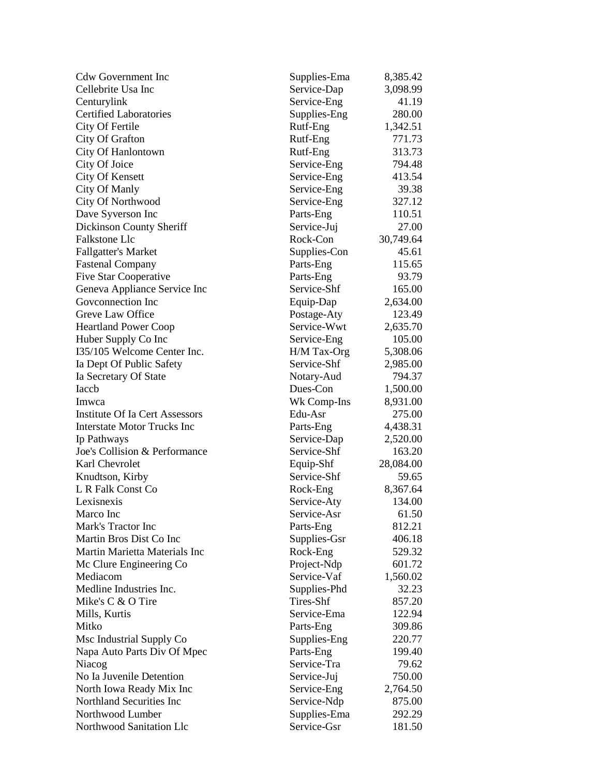| <b>Cdw Government Inc</b>             | Supplies-Ema | 8,385.42  |
|---------------------------------------|--------------|-----------|
| Cellebrite Usa Inc                    | Service-Dap  | 3,098.99  |
| Centurylink                           | Service-Eng  | 41.19     |
| <b>Certified Laboratories</b>         | Supplies-Eng | 280.00    |
| City Of Fertile                       | Rutf-Eng     | 1,342.51  |
| City Of Grafton                       | Rutf-Eng     | 771.73    |
| City Of Hanlontown                    | Rutf-Eng     | 313.73    |
| City Of Joice                         | Service-Eng  | 794.48    |
| City Of Kensett                       | Service-Eng  | 413.54    |
| City Of Manly                         | Service-Eng  | 39.38     |
| City Of Northwood                     | Service-Eng  | 327.12    |
| Dave Syverson Inc                     | Parts-Eng    | 110.51    |
| Dickinson County Sheriff              | Service-Juj  | 27.00     |
| <b>Falkstone Llc</b>                  | Rock-Con     | 30,749.64 |
| <b>Fallgatter's Market</b>            | Supplies-Con | 45.61     |
| <b>Fastenal Company</b>               | Parts-Eng    | 115.65    |
| <b>Five Star Cooperative</b>          | Parts-Eng    | 93.79     |
| Geneva Appliance Service Inc          | Service-Shf  | 165.00    |
| Goveonnection Inc                     | Equip-Dap    | 2,634.00  |
| Greve Law Office                      | Postage-Aty  | 123.49    |
| <b>Heartland Power Coop</b>           | Service-Wwt  | 2,635.70  |
| Huber Supply Co Inc                   | Service-Eng  | 105.00    |
| I35/105 Welcome Center Inc.           | H/M Tax-Org  | 5,308.06  |
| Ia Dept Of Public Safety              | Service-Shf  | 2,985.00  |
| Ia Secretary Of State                 | Notary-Aud   | 794.37    |
| Iaccb                                 | Dues-Con     | 1,500.00  |
| Imwca                                 | Wk Comp-Ins  | 8,931.00  |
| <b>Institute Of Ia Cert Assessors</b> | Edu-Asr      | 275.00    |
| <b>Interstate Motor Trucks Inc</b>    | Parts-Eng    | 4,438.31  |
| Ip Pathways                           | Service-Dap  | 2,520.00  |
| Joe's Collision & Performance         | Service-Shf  | 163.20    |
| Karl Chevrolet                        | Equip-Shf    | 28,084.00 |
| Knudtson, Kirby                       | Service-Shf  | 59.65     |
| L R Falk Const Co                     | Rock-Eng     | 8,367.64  |
| Lexisnexis                            | Service-Aty  | 134.00    |
| Marco Inc                             | Service-Asr  | 61.50     |
| Mark's Tractor Inc                    |              | 812.21    |
| Martin Bros Dist Co Inc               | Parts-Eng    | 406.18    |
| Martin Marietta Materials Inc         | Supplies-Gsr |           |
|                                       | Rock-Eng     | 529.32    |
| Mc Clure Engineering Co               | Project-Ndp  | 601.72    |
| Mediacom                              | Service-Vaf  | 1,560.02  |
| Medline Industries Inc.               | Supplies-Phd | 32.23     |
| Mike's C & O Tire                     | Tires-Shf    | 857.20    |
| Mills, Kurtis                         | Service-Ema  | 122.94    |
| Mitko                                 | Parts-Eng    | 309.86    |
| Msc Industrial Supply Co              | Supplies-Eng | 220.77    |
| Napa Auto Parts Div Of Mpec           | Parts-Eng    | 199.40    |
| Niacog                                | Service-Tra  | 79.62     |
| No Ia Juvenile Detention              | Service-Juj  | 750.00    |
| North Iowa Ready Mix Inc              | Service-Eng  | 2,764.50  |
| Northland Securities Inc              | Service-Ndp  | 875.00    |
| Northwood Lumber                      | Supplies-Ema | 292.29    |
| Northwood Sanitation Llc              | Service-Gsr  | 181.50    |